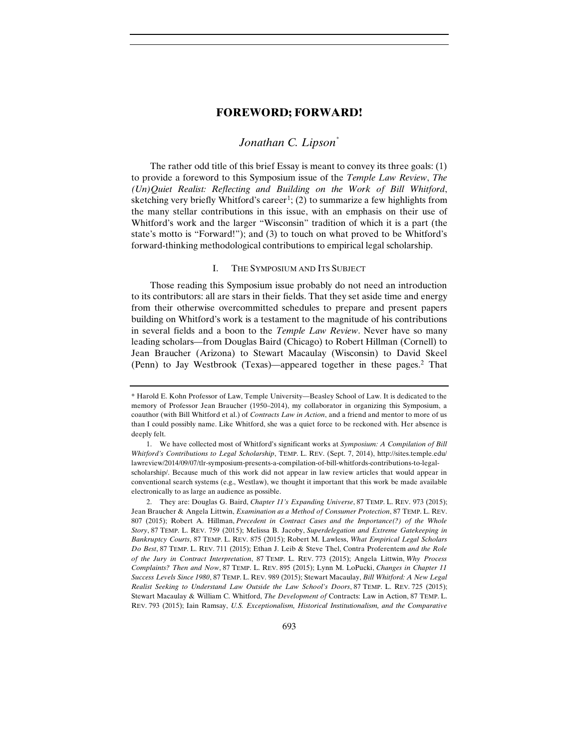# *Jonathan C. Lipson[\\*](#page-0-0)*

The rather odd title of this brief Essay is meant to convey its three goals: (1) to provide a foreword to this Symposium issue of the *Temple Law Review*, *The (Un)Quiet Realist: Reflecting and Building on the Work of Bill Whitford*, sketching very briefly Whitford's career<sup>[1](#page-0-1)</sup>; (2) to summarize a few highlights from the many stellar contributions in this issue, with an emphasis on their use of Whitford's work and the larger "Wisconsin" tradition of which it is a part (the state's motto is "Forward!"); and (3) to touch on what proved to be Whitford's forward-thinking methodological contributions to empirical legal scholarship.

#### I. THE SYMPOSIUM AND ITS SUBJECT

Those reading this Symposium issue probably do not need an introduction to its contributors: all are stars in their fields. That they set aside time and energy from their otherwise overcommitted schedules to prepare and present papers building on Whitford's work is a testament to the magnitude of his contributions in several fields and a boon to the *Temple Law Review*. Never have so many leading scholars—from Douglas Baird (Chicago) to Robert Hillman (Cornell) to Jean Braucher (Arizona) to Stewart Macaulay (Wisconsin) to David Skeel (Penn) to Jay Westbrook (Texas)—appeared together in these pages.[2](#page-0-2) That

<span id="page-0-0"></span><sup>\*</sup> Harold E. Kohn Professor of Law, Temple University—Beasley School of Law. It is dedicated to the memory of Professor Jean Braucher (1950–2014), my collaborator in organizing this Symposium, a coauthor (with Bill Whitford et al.) of *Contracts Law in Action*, and a friend and mentor to more of us than I could possibly name. Like Whitford, she was a quiet force to be reckoned with. Her absence is deeply felt.

<span id="page-0-1"></span><sup>1.</sup> We have collected most of Whitford's significant works at *Symposium: A Compilation of Bill Whitford's Contributions to Legal Scholarship*, TEMP. L. REV. (Sept. 7, 2014), http://sites.temple.edu/ lawreview/2014/09/07/tlr-symposium-presents-a-compilation-of-bill-whitfords-contributions-to-legalscholarship/. Because much of this work did not appear in law review articles that would appear in conventional search systems (e.g., Westlaw), we thought it important that this work be made available electronically to as large an audience as possible.

<span id="page-0-2"></span><sup>2.</sup> They are: Douglas G. Baird, *Chapter 11's Expanding Universe*, 87 TEMP. L. REV. 973 (2015); Jean Braucher & Angela Littwin, *Examination as a Method of Consumer Protection*, 87 TEMP. L. REV. 807 (2015); Robert A. Hillman, *Precedent in Contract Cases and the Importance(?) of the Whole Story*, 87 TEMP. L. REV. 759 (2015); Melissa B. Jacoby, *Superdelegation and Extreme Gatekeeping in Bankruptcy Courts*, 87 TEMP. L. REV. 875 (2015); Robert M. Lawless, *What Empirical Legal Scholars Do Best*, 87 TEMP. L. REV. 711 (2015); Ethan J. Leib & Steve Thel, Contra Proferentem *and the Role of the Jury in Contract Interpretation*, 87 TEMP. L. REV. 773 (2015); Angela Littwin, *Why Process Complaints? Then and Now*, 87 TEMP. L. REV. 895 (2015); Lynn M. LoPucki, *Changes in Chapter 11 Success Levels Since 1980*, 87 TEMP. L. REV. 989 (2015); Stewart Macaulay, *Bill Whitford: A New Legal Realist Seeking to Understand Law Outside the Law School's Doors*, 87 TEMP. L. REV. 725 (2015); Stewart Macaulay & William C. Whitford, *The Development of* Contracts: Law in Action, 87 TEMP. L. REV. 793 (2015); Iain Ramsay, *U.S. Exceptionalism, Historical Institutionalism, and the Comparative*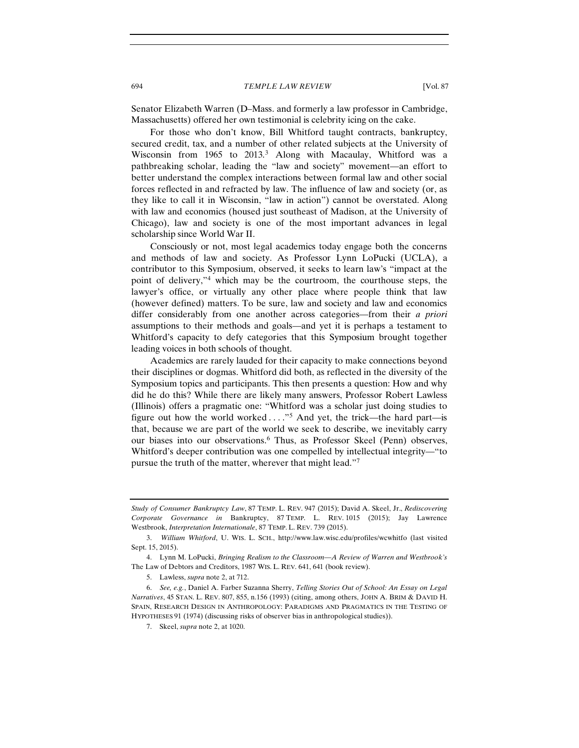Senator Elizabeth Warren (D–Mass. and formerly a law professor in Cambridge, Massachusetts) offered her own testimonial is celebrity icing on the cake.

For those who don't know, Bill Whitford taught contracts, bankruptcy, secured credit, tax, and a number of other related subjects at the University of Wisconsin from 1965 to 2013.[3](#page-1-0) Along with Macaulay, Whitford was a pathbreaking scholar, leading the "law and society" movement—an effort to better understand the complex interactions between formal law and other social forces reflected in and refracted by law. The influence of law and society (or, as they like to call it in Wisconsin, "law in action") cannot be overstated. Along with law and economics (housed just southeast of Madison, at the University of Chicago), law and society is one of the most important advances in legal scholarship since World War II.

Consciously or not, most legal academics today engage both the concerns and methods of law and society. As Professor Lynn LoPucki (UCLA), a contributor to this Symposium, observed, it seeks to learn law's "impact at the point of delivery,"[4](#page-1-1) which may be the courtroom, the courthouse steps, the lawyer's office, or virtually any other place where people think that law (however defined) matters. To be sure, law and society and law and economics differ considerably from one another across categories—from their *a priori* assumptions to their methods and goals—and yet it is perhaps a testament to Whitford's capacity to defy categories that this Symposium brought together leading voices in both schools of thought.

Academics are rarely lauded for their capacity to make connections beyond their disciplines or dogmas. Whitford did both, as reflected in the diversity of the Symposium topics and participants. This then presents a question: How and why did he do this? While there are likely many answers, Professor Robert Lawless (Illinois) offers a pragmatic one: "Whitford was a scholar just doing studies to figure out how the world worked  $\dots$ ."<sup>[5](#page-1-2)</sup> And yet, the trick—the hard part—is that, because we are part of the world we seek to describe, we inevitably carry our biases into our observations[.6](#page-1-3) Thus, as Professor Skeel (Penn) observes, Whitford's deeper contribution was one compelled by intellectual integrity—"to pursue the truth of the matter, wherever that might lead.["7](#page-1-4)

*Study of Consumer Bankruptcy Law*, 87 TEMP. L. REV. 947 (2015); David A. Skeel, Jr., *Rediscovering Corporate Governance in* Bankruptcy, 87 TEMP. L. REV. 1015 (2015); Jay Lawrence Westbrook, *Interpretation Internationale*, 87 TEMP. L. REV. 739 (2015).

<span id="page-1-0"></span><sup>3.</sup> *William Whitford*, U. WIS. L. SCH., http://www.law.wisc.edu/profiles/wcwhitfo (last visited Sept. 15, 2015).

<span id="page-1-1"></span><sup>4.</sup> Lynn M. LoPucki, *Bringing Realism to the Classroom—A Review of Warren and Westbrook's*  The Law of Debtors and Creditors, 1987 WIS. L. REV. 641, 641 (book review).

<sup>5.</sup> Lawless, *supra* note 2, at 712.

<span id="page-1-4"></span><span id="page-1-3"></span><span id="page-1-2"></span><sup>6.</sup> *See, e.g.*, Daniel A. Farber Suzanna Sherry, *Telling Stories Out of School: An Essay on Legal Narratives*, 45 STAN. L. REV. 807, 855, n.156 (1993) (citing, among others, JOHN A. BRIM & DAVID H. SPAIN, RESEARCH DESIGN IN ANTHROPOLOGY: PARADIGMS AND PRAGMATICS IN THE TESTING OF HYPOTHESES 91 (1974) (discussing risks of observer bias in anthropological studies)).

<sup>7.</sup> Skeel, *supra* note 2, at 1020.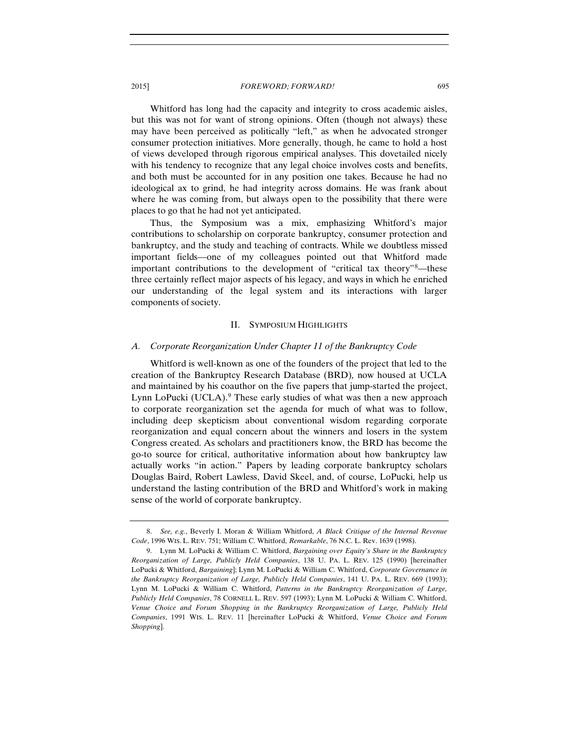Whitford has long had the capacity and integrity to cross academic aisles, but this was not for want of strong opinions. Often (though not always) these may have been perceived as politically "left," as when he advocated stronger consumer protection initiatives. More generally, though, he came to hold a host of views developed through rigorous empirical analyses. This dovetailed nicely with his tendency to recognize that any legal choice involves costs and benefits, and both must be accounted for in any position one takes. Because he had no ideological ax to grind, he had integrity across domains. He was frank about where he was coming from, but always open to the possibility that there were places to go that he had not yet anticipated.

Thus, the Symposium was a mix, emphasizing Whitford's major contributions to scholarship on corporate bankruptcy, consumer protection and bankruptcy, and the study and teaching of contracts. While we doubtless missed important fields—one of my colleagues pointed out that Whitford made important contributions to the development of "critical tax theory"[8](#page-2-0)—these three certainly reflect major aspects of his legacy, and ways in which he enriched our understanding of the legal system and its interactions with larger components of society.

#### II. SYMPOSIUM HIGHLIGHTS

#### *A. Corporate Reorganization Under Chapter 11 of the Bankruptcy Code*

Whitford is well-known as one of the founders of the project that led to the creation of the Bankruptcy Research Database (BRD)*,* now housed at UCLA and maintained by his coauthor on the five papers that jump-started the project, Lynn LoPucki (UCLA).<sup>[9](#page-2-1)</sup> These early studies of what was then a new approach to corporate reorganization set the agenda for much of what was to follow, including deep skepticism about conventional wisdom regarding corporate reorganization and equal concern about the winners and losers in the system Congress created. As scholars and practitioners know, the BRD has become the go-to source for critical, authoritative information about how bankruptcy law actually works "in action." Papers by leading corporate bankruptcy scholars Douglas Baird, Robert Lawless, David Skeel, and, of course, LoPucki, help us understand the lasting contribution of the BRD and Whitford's work in making sense of the world of corporate bankruptcy.

<span id="page-2-0"></span><sup>8.</sup> *See, e.g.*, Beverly I. Moran & William Whitford, *A Black Critique of the Internal Revenue Code*, 1996 WIS. L. REV. 751; William C. Whitford, *Remarkable*, 76 N.C. L. Rev. 1639 (1998).

<span id="page-2-1"></span><sup>9.</sup> Lynn M. LoPucki & William C. Whitford, *Bargaining over Equity's Share in the Bankruptcy Reorganization of Large, Publicly Held Companies*, 138 U. PA. L. REV. 125 (1990) [hereinafter LoPucki & Whitford, *Bargaining*]; Lynn M. LoPucki & William C. Whitford, *Corporate Governance in the Bankruptcy Reorganization of Large, Publicly Held Companies*, 141 U. PA. L. REV. 669 (1993); Lynn M. LoPucki & William C. Whitford, *Patterns in the Bankruptcy Reorganization of Large, Publicly Held Companies*, 78 CORNELL L. REV. 597 (1993); Lynn M. LoPucki & William C. Whitford, *Venue Choice and Forum Shopping in the Bankruptcy Reorganization of Large, Publicly Held Companies*, 1991 WIS. L. REV. 11 [hereinafter LoPucki & Whitford, *Venue Choice and Forum Shopping*].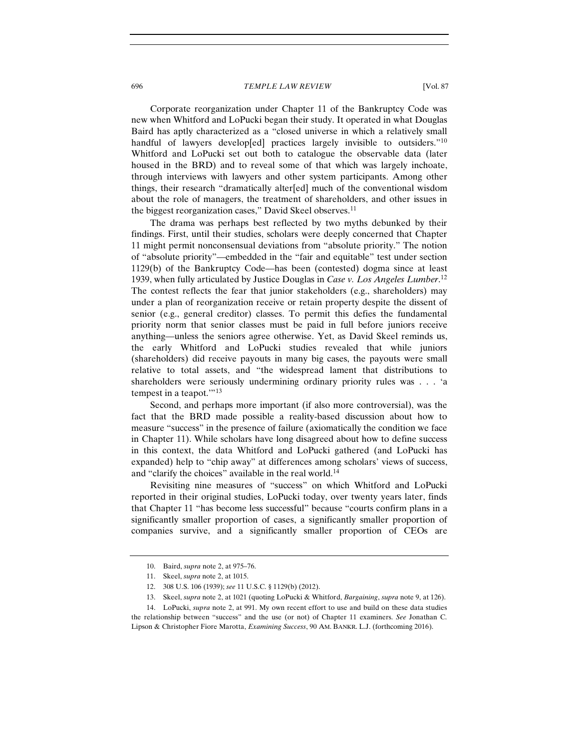Corporate reorganization under Chapter 11 of the Bankruptcy Code was new when Whitford and LoPucki began their study. It operated in what Douglas Baird has aptly characterized as a "closed universe in which a relatively small handful of lawyers develop[ed] practices largely invisible to outsiders."<sup>10</sup> Whitford and LoPucki set out both to catalogue the observable data (later housed in the BRD) and to reveal some of that which was largely inchoate, through interviews with lawyers and other system participants. Among other things, their research "dramatically alter[ed] much of the conventional wisdom about the role of managers, the treatment of shareholders, and other issues in the biggest reorganization cases," David Skeel observes.<sup>[11](#page-3-1)</sup>

The drama was perhaps best reflected by two myths debunked by their findings. First, until their studies, scholars were deeply concerned that Chapter 11 might permit nonconsensual deviations from "absolute priority." The notion of "absolute priority"—embedded in the "fair and equitable" test under section 1129(b) of the Bankruptcy Code—has been (contested) dogma since at least 1939, when fully articulated by Justice Douglas in *Case v. Los Angeles Lumber*. [12](#page-3-2) The contest reflects the fear that junior stakeholders (e.g., shareholders) may under a plan of reorganization receive or retain property despite the dissent of senior (e.g., general creditor) classes. To permit this defies the fundamental priority norm that senior classes must be paid in full before juniors receive anything—unless the seniors agree otherwise. Yet, as David Skeel reminds us, the early Whitford and LoPucki studies revealed that while juniors (shareholders) did receive payouts in many big cases, the payouts were small relative to total assets, and "the widespread lament that distributions to shareholders were seriously undermining ordinary priority rules was . . . 'a tempest in a teapot.'"[13](#page-3-3)

Second, and perhaps more important (if also more controversial), was the fact that the BRD made possible a reality-based discussion about how to measure "success" in the presence of failure (axiomatically the condition we face in Chapter 11). While scholars have long disagreed about how to define success in this context, the data Whitford and LoPucki gathered (and LoPucki has expanded) help to "chip away" at differences among scholars' views of success, and "clarify the choices" available in the real world.<sup>14</sup>

Revisiting nine measures of "success" on which Whitford and LoPucki reported in their original studies, LoPucki today, over twenty years later, finds that Chapter 11 "has become less successful" because "courts confirm plans in a significantly smaller proportion of cases, a significantly smaller proportion of companies survive, and a significantly smaller proportion of CEOs are

<sup>10.</sup> Baird, *supra* note 2, at 975–76.

<sup>11.</sup> Skeel, *supra* note 2, at 1015.

<sup>12.</sup> 308 U.S. 106 (1939); *see* 11 U.S.C. § 1129(b) (2012).

<sup>13.</sup> Skeel, *supra* note 2, at 1021 (quoting LoPucki & Whitford, *Bargaining*, *supra* note 9, at 126).

<span id="page-3-4"></span><span id="page-3-3"></span><span id="page-3-2"></span><span id="page-3-1"></span><span id="page-3-0"></span><sup>14.</sup> LoPucki, *supra* note 2, at 991. My own recent effort to use and build on these data studies the relationship between "success" and the use (or not) of Chapter 11 examiners. *See* Jonathan C. Lipson & Christopher Fiore Marotta, *Examining Success*, 90 AM. BANKR. L.J. (forthcoming 2016).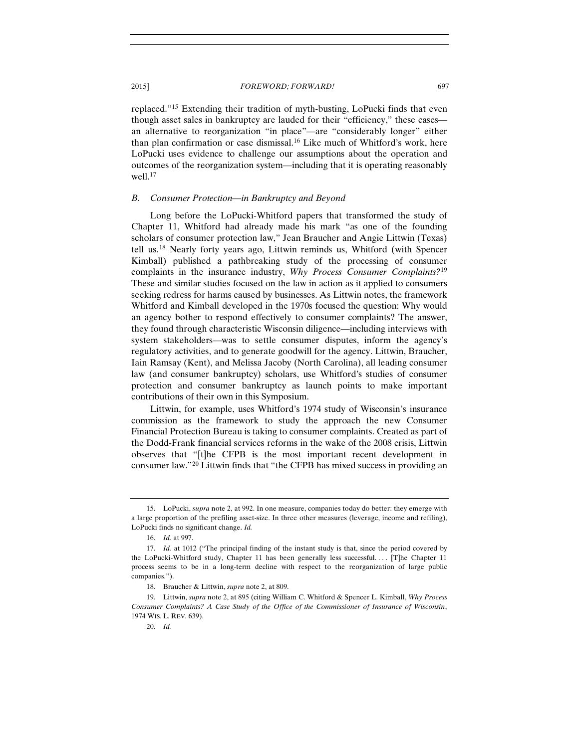replaced."[15](#page-4-0) Extending their tradition of myth-busting, LoPucki finds that even though asset sales in bankruptcy are lauded for their "efficiency," these cases an alternative to reorganization "in place"—are "considerably longer" either than plan confirmation or case dismissal.[16](#page-4-1) Like much of Whitford's work, here LoPucki uses evidence to challenge our assumptions about the operation and outcomes of the reorganization system—including that it is operating reasonably well.<sup>[17](#page-4-2)</sup>

## *B. Consumer Protection—in Bankruptcy and Beyond*

Long before the LoPucki-Whitford papers that transformed the study of Chapter 11, Whitford had already made his mark "as one of the founding scholars of consumer protection law," Jean Braucher and Angie Littwin (Texas) tell us.[18](#page-4-3) Nearly forty years ago, Littwin reminds us, Whitford (with Spencer Kimball) published a pathbreaking study of the processing of consumer complaints in the insurance industry, *Why Process Consumer Complaints?*[19](#page-4-4) These and similar studies focused on the law in action as it applied to consumers seeking redress for harms caused by businesses. As Littwin notes, the framework Whitford and Kimball developed in the 1970s focused the question: Why would an agency bother to respond effectively to consumer complaints? The answer, they found through characteristic Wisconsin diligence—including interviews with system stakeholders—was to settle consumer disputes, inform the agency's regulatory activities, and to generate goodwill for the agency. Littwin, Braucher, Iain Ramsay (Kent), and Melissa Jacoby (North Carolina), all leading consumer law (and consumer bankruptcy) scholars, use Whitford's studies of consumer protection and consumer bankruptcy as launch points to make important contributions of their own in this Symposium.

Littwin, for example, uses Whitford's 1974 study of Wisconsin's insurance commission as the framework to study the approach the new Consumer Financial Protection Bureau is taking to consumer complaints. Created as part of the Dodd-Frank financial services reforms in the wake of the 2008 crisis, Littwin observes that "[t]he CFPB is the most important recent development in consumer law."[20](#page-4-5) Littwin finds that "the CFPB has mixed success in providing an

<span id="page-4-0"></span><sup>15.</sup> LoPucki, *supra* note 2, at 992. In one measure, companies today do better: they emerge with a large proportion of the prefiling asset-size. In three other measures (leverage, income and refiling), LoPucki finds no significant change. *Id.*

<sup>16.</sup> *Id.* at 997.

<span id="page-4-2"></span><span id="page-4-1"></span><sup>17.</sup> *Id.* at 1012 ("The principal finding of the instant study is that, since the period covered by the LoPucki-Whitford study, Chapter 11 has been generally less successful. . . . [T]he Chapter 11 process seems to be in a long-term decline with respect to the reorganization of large public companies.").

<sup>18.</sup> Braucher & Littwin, *supra* note 2, at 809.

<span id="page-4-5"></span><span id="page-4-4"></span><span id="page-4-3"></span><sup>19.</sup> Littwin, *supra* note 2, at 895 (citing William C. Whitford & Spencer L. Kimball, *Why Process Consumer Complaints? A Case Study of the Office of the Commissioner of Insurance of Wisconsin*, 1974 WIS. L. REV. 639).

<sup>20.</sup> *Id.*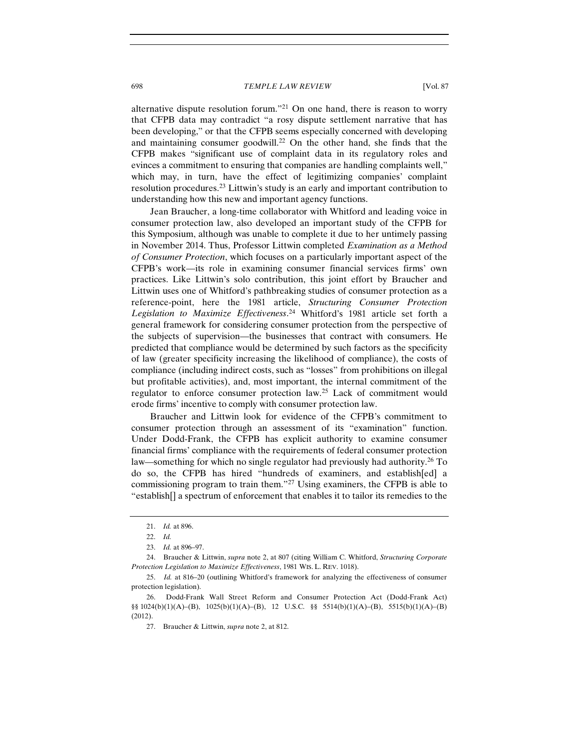alternative dispute resolution forum."<sup>[21](#page-5-0)</sup> On one hand, there is reason to worry that CFPB data may contradict "a rosy dispute settlement narrative that has been developing," or that the CFPB seems especially concerned with developing and maintaining consumer goodwill.<sup>[22](#page-5-1)</sup> On the other hand, she finds that the CFPB makes "significant use of complaint data in its regulatory roles and evinces a commitment to ensuring that companies are handling complaints well," which may, in turn, have the effect of legitimizing companies' complaint resolution procedures.[23](#page-5-2) Littwin's study is an early and important contribution to understanding how this new and important agency functions.

Jean Braucher, a long-time collaborator with Whitford and leading voice in consumer protection law, also developed an important study of the CFPB for this Symposium, although was unable to complete it due to her untimely passing in November 2014. Thus, Professor Littwin completed *Examination as a Method of Consumer Protection*, which focuses on a particularly important aspect of the CFPB's work—its role in examining consumer financial services firms' own practices. Like Littwin's solo contribution, this joint effort by Braucher and Littwin uses one of Whitford's pathbreaking studies of consumer protection as a reference-point, here the 1981 article, *Structuring Consumer Protection Legislation to Maximize Effectiveness*. [24](#page-5-3) Whitford's 1981 article set forth a general framework for considering consumer protection from the perspective of the subjects of supervision—the businesses that contract with consumers. He predicted that compliance would be determined by such factors as the specificity of law (greater specificity increasing the likelihood of compliance), the costs of compliance (including indirect costs, such as "losses" from prohibitions on illegal but profitable activities), and, most important, the internal commitment of the regulator to enforce consumer protection law.[25](#page-5-4) Lack of commitment would erode firms' incentive to comply with consumer protection law.

Braucher and Littwin look for evidence of the CFPB's commitment to consumer protection through an assessment of its "examination" function. Under Dodd-Frank, the CFPB has explicit authority to examine consumer financial firms' compliance with the requirements of federal consumer protection law—something for which no single regulator had previously had authority.<sup>[26](#page-5-5)</sup> To do so, the CFPB has hired "hundreds of examiners, and establish[ed] a commissioning program to train them."[27](#page-5-6) Using examiners, the CFPB is able to "establish[] a spectrum of enforcement that enables it to tailor its remedies to the

<sup>21.</sup> *Id.* at 896.

<sup>22.</sup> *Id.*

<sup>23.</sup> *Id.* at 896–97.

<span id="page-5-3"></span><span id="page-5-2"></span><span id="page-5-1"></span><span id="page-5-0"></span><sup>24.</sup> Braucher & Littwin, *supra* note 2, at 807 (citing William C. Whitford, *Structuring Corporate Protection Legislation to Maximize Effectiveness*, 1981 WIS. L. REV. 1018).

<span id="page-5-4"></span><sup>25.</sup> *Id.* at 816–20 (outlining Whitford's framework for analyzing the effectiveness of consumer protection legislation).

<span id="page-5-6"></span><span id="page-5-5"></span><sup>26.</sup> Dodd-Frank Wall Street Reform and Consumer Protection Act (Dodd-Frank Act) §§ 1024(b)(1)(A)–(B), 1025(b)(1)(A)–(B), 12 U.S.C. §§ 5514(b)(1)(A)–(B), 5515(b)(1)(A)–(B) (2012).

<sup>27.</sup> Braucher & Littwin, *supra* note 2, at 812.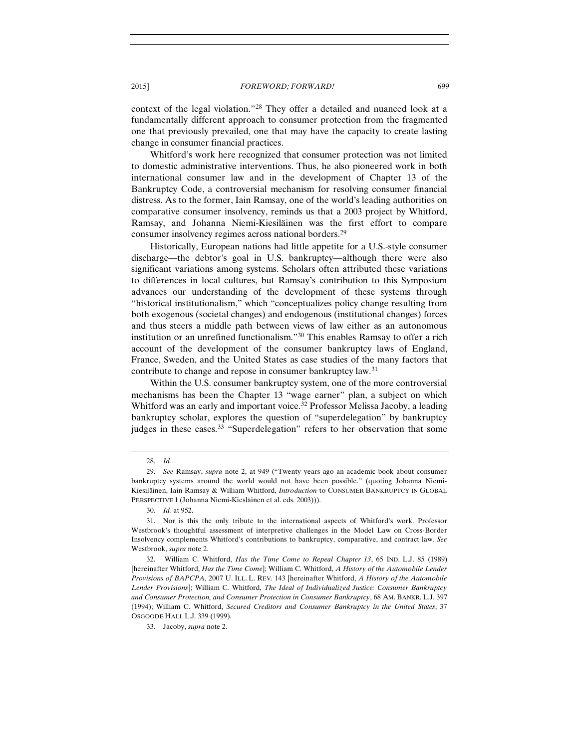context of the legal violation."[28](#page-6-0) They offer a detailed and nuanced look at a fundamentally different approach to consumer protection from the fragmented one that previously prevailed, one that may have the capacity to create lasting change in consumer financial practices.

Whitford's work here recognized that consumer protection was not limited to domestic administrative interventions. Thus, he also pioneered work in both international consumer law and in the development of Chapter 13 of the Bankruptcy Code, a controversial mechanism for resolving consumer financial distress. As to the former, Iain Ramsay, one of the world's leading authorities on comparative consumer insolvency, reminds us that a 2003 project by Whitford, Ramsay, and Johanna Niemi-Kiesiläinen was the first effort to compare consumer insolvency regimes across national borders.[29](#page-6-1)

Historically, European nations had little appetite for a U.S.-style consumer discharge—the debtor's goal in U.S. bankruptcy—although there were also significant variations among systems. Scholars often attributed these variations to differences in local cultures, but Ramsay's contribution to this Symposium advances our understanding of the development of these systems through "historical institutionalism," which "conceptualizes policy change resulting from both exogenous (societal changes) and endogenous (institutional changes) forces and thus steers a middle path between views of law either as an autonomous institution or an unrefined functionalism."[30](#page-6-2) This enables Ramsay to offer a rich account of the development of the consumer bankruptcy laws of England, France, Sweden, and the United States as case studies of the many factors that contribute to change and repose in consumer bankruptcy law.<sup>[31](#page-6-3)</sup>

Within the U.S. consumer bankruptcy system, one of the more controversial mechanisms has been the Chapter 13 "wage earner" plan, a subject on which Whitford was an early and important voice.<sup>32</sup> Professor Melissa Jacoby, a leading bankruptcy scholar, explores the question of "superdelegation" by bankruptcy judges in these cases.<sup>[33](#page-6-5)</sup> "Superdelegation" refers to her observation that some

<sup>28.</sup> *Id.*

<span id="page-6-1"></span><span id="page-6-0"></span><sup>29.</sup> *See* Ramsay, *supra* note 2, at 949 ("Twenty years ago an academic book about consumer bankruptcy systems around the world would not have been possible." (quoting Johanna Niemi-Kiesiläinen, Iain Ramsay & William Whitford, *Introduction* to CONSUMER BANKRUPTCY IN GLOBAL PERSPECTIVE 1 (Johanna Niemi-Kiesläinen et al. eds. 2003))).

<sup>30.</sup> *Id.* at 952.

<span id="page-6-3"></span><span id="page-6-2"></span><sup>31.</sup> Nor is this the only tribute to the international aspects of Whitford's work. Professor Westbrook's thoughtful assessment of interpretive challenges in the Model Law on Cross-Border Insolvency complements Whitford's contributions to bankruptcy, comparative, and contract law. *See*  Westbrook, *supra* note 2.

<span id="page-6-4"></span><sup>32.</sup> William C. Whitford, *Has the Time Come to Repeal Chapter 13*, 65 IND. L.J. 85 (1989) [hereinafter Whitford, *Has the Time Come*]; William C. Whitford, *A History of the Automobile Lender Provisions of BAPCPA*, 2007 U. ILL. L. REV. 143 [hereinafter Whitford, *A History of the Automobile Lender Provisions*]; William C. Whitford, *The Ideal of Individualized Justice: Consumer Bankruptcy and Consumer Protection, and Consumer Protection in Consumer Bankruptcy*, 68 AM. BANKR. L.J. 397 (1994); William C. Whitford, *Secured Creditors and Consumer Bankruptcy in the United States*, 37 OSGOODE HALL L.J. 339 (1999).

<span id="page-6-5"></span><sup>33.</sup> Jacoby, *supra* note 2.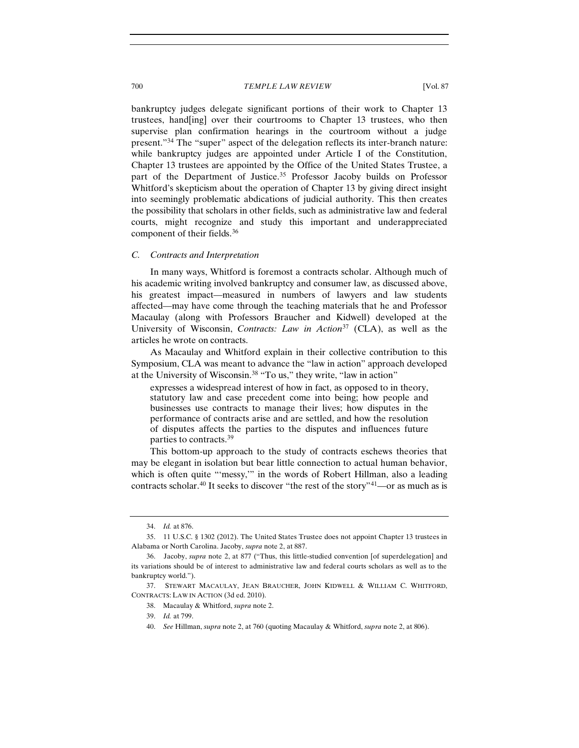bankruptcy judges delegate significant portions of their work to Chapter 13 trustees, hand[ing] over their courtrooms to Chapter 13 trustees, who then supervise plan confirmation hearings in the courtroom without a judge present."[34](#page-7-0) The "super" aspect of the delegation reflects its inter-branch nature: while bankruptcy judges are appointed under Article I of the Constitution, Chapter 13 trustees are appointed by the Office of the United States Trustee, a part of the Department of Justice.<sup>[35](#page-7-1)</sup> Professor Jacoby builds on Professor Whitford's skepticism about the operation of Chapter 13 by giving direct insight into seemingly problematic abdications of judicial authority. This then creates the possibility that scholars in other fields, such as administrative law and federal courts, might recognize and study this important and underappreciated component of their fields.<sup>[36](#page-7-2)</sup>

## *C. Contracts and Interpretation*

In many ways, Whitford is foremost a contracts scholar. Although much of his academic writing involved bankruptcy and consumer law, as discussed above, his greatest impact—measured in numbers of lawyers and law students affected—may have come through the teaching materials that he and Professor Macaulay (along with Professors Braucher and Kidwell) developed at the University of Wisconsin, *Contracts: Law in Action*[37](#page-7-3) (CLA), as well as the articles he wrote on contracts.

As Macaulay and Whitford explain in their collective contribution to this Symposium, CLA was meant to advance the "law in action" approach developed at the University of Wisconsin[.38](#page-7-4) "To us," they write, "law in action"

expresses a widespread interest of how in fact, as opposed to in theory, statutory law and case precedent come into being; how people and businesses use contracts to manage their lives; how disputes in the performance of contracts arise and are settled, and how the resolution of disputes affects the parties to the disputes and influences future parties to contracts.<sup>39</sup>

<span id="page-7-7"></span>This bottom-up approach to the study of contracts eschews theories that may be elegant in isolation but bear little connection to actual human behavior, which is often quite "messy," in the words of Robert Hillman, also a leading contracts scholar.<sup>[40](#page-7-6)</sup> It seeks to discover "the rest of the story"<sup>[41](#page-7-7)</sup>—or as much as is

<sup>34.</sup> *Id.* at 876.

<span id="page-7-1"></span><span id="page-7-0"></span><sup>35.</sup> 11 U.S.C. § 1302 (2012). The United States Trustee does not appoint Chapter 13 trustees in Alabama or North Carolina. Jacoby, *supra* note 2, at 887.

<span id="page-7-2"></span><sup>36.</sup> Jacoby, *supra* note 2, at 877 ("Thus, this little-studied convention [of superdelegation] and its variations should be of interest to administrative law and federal courts scholars as well as to the bankruptcy world.").

<span id="page-7-6"></span><span id="page-7-5"></span><span id="page-7-4"></span><span id="page-7-3"></span><sup>37.</sup> STEWART MACAULAY, JEAN BRAUCHER, JOHN KIDWELL & WILLIAM C. WHITFORD, CONTRACTS: LAW IN ACTION (3d ed. 2010).

<sup>38.</sup> Macaulay & Whitford, *supra* note 2.

<sup>39.</sup> *Id.* at 799.

<sup>40.</sup> *See* Hillman, *supra* note 2, at 760 (quoting Macaulay & Whitford, *supra* note 2, at 806).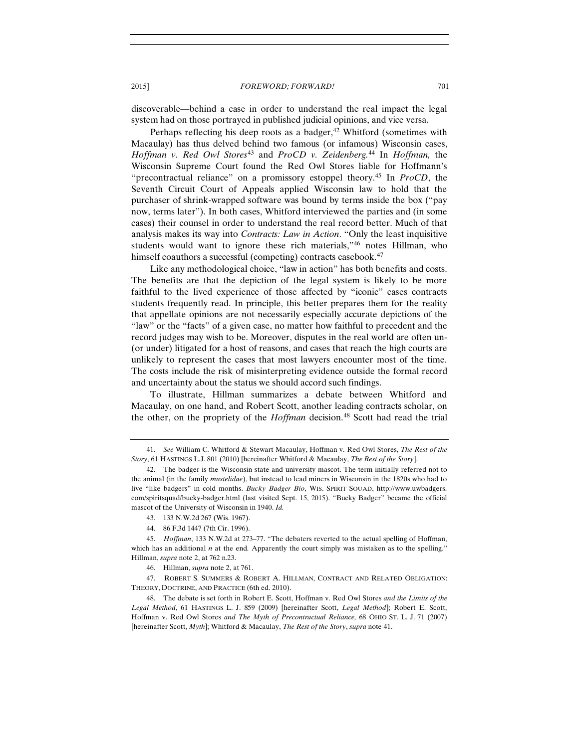discoverable—behind a case in order to understand the real impact the legal system had on those portrayed in published judicial opinions, and vice versa.

Perhaps reflecting his deep roots as a badger, $42$  Whitford (sometimes with Macaulay) has thus delved behind two famous (or infamous) Wisconsin cases, *Hoffman v. Red Owl Stores*[43](#page-8-1) and *ProCD v. Zeidenberg.*[44](#page-8-2) In *Hoffman,* the Wisconsin Supreme Court found the Red Owl Stores liable for Hoffmann's "precontractual reliance" on a promissory estoppel theory.[45](#page-8-3) In *ProCD*, the Seventh Circuit Court of Appeals applied Wisconsin law to hold that the purchaser of shrink-wrapped software was bound by terms inside the box ("pay now, terms later"). In both cases, Whitford interviewed the parties and (in some cases) their counsel in order to understand the real record better. Much of that analysis makes its way into *Contracts: Law in Action*. "Only the least inquisitive students would want to ignore these rich materials,["46](#page-8-4) notes Hillman, who himself coauthors a successful (competing) contracts casebook.<sup>[47](#page-8-5)</sup>

Like any methodological choice, "law in action" has both benefits and costs. The benefits are that the depiction of the legal system is likely to be more faithful to the lived experience of those affected by "iconic" cases contracts students frequently read. In principle, this better prepares them for the reality that appellate opinions are not necessarily especially accurate depictions of the "law" or the "facts" of a given case, no matter how faithful to precedent and the record judges may wish to be. Moreover, disputes in the real world are often un- (or under) litigated for a host of reasons, and cases that reach the high courts are unlikely to represent the cases that most lawyers encounter most of the time. The costs include the risk of misinterpreting evidence outside the formal record and uncertainty about the status we should accord such findings.

To illustrate, Hillman summarizes a debate between Whitford and Macaulay, on one hand, and Robert Scott, another leading contracts scholar, on the other, on the propriety of the *Hoffman* decision.<sup>[48](#page-8-6)</sup> Scott had read the trial

<sup>41.</sup> *See* William C. Whitford & Stewart Macaulay, Hoffman v. Red Owl Stores, *The Rest of the Story*, 61 HASTINGS L.J. 801 (2010) [hereinafter Whitford & Macaulay, *The Rest of the Story*].

<span id="page-8-0"></span><sup>42.</sup> The badger is the Wisconsin state and university mascot. The term initially referred not to the animal (in the family *mustelidae*), but instead to lead miners in Wisconsin in the 1820s who had to live "like badgers" in cold months. *Bucky Badger Bio*, WIS. SPIRIT SQUAD, http://www.uwbadgers. com/spiritsquad/bucky-badger.html (last visited Sept. 15, 2015). "Bucky Badger" became the official mascot of the University of Wisconsin in 1940. *Id.*

<sup>43.</sup> 133 N.W.2d 267 (Wis. 1967).

<sup>44.</sup> 86 F.3d 1447 (7th Cir. 1996).

<span id="page-8-3"></span><span id="page-8-2"></span><span id="page-8-1"></span><sup>45.</sup> *Hoffman*, 133 N.W.2d at 273–77. "The debaters reverted to the actual spelling of Hoffman, which has an additional *n* at the end. Apparently the court simply was mistaken as to the spelling." Hillman, *supra* note 2, at 762 n.23.

<sup>46.</sup> Hillman, *supra* note 2, at 761.

<span id="page-8-5"></span><span id="page-8-4"></span><sup>47.</sup> ROBERT S. SUMMERS & ROBERT A. HILLMAN, CONTRACT AND RELATED OBLIGATION: THEORY, DOCTRINE, AND PRACTICE (6th ed. 2010).

<span id="page-8-6"></span><sup>48.</sup> The debate is set forth in Robert E. Scott, Hoffman v. Red Owl Stores *and the Limits of the Legal Method*, 61 HASTINGS L. J. 859 (2009) [hereinafter Scott, *Legal Method*]; Robert E. Scott, Hoffman v. Red Owl Stores *and The Myth of Precontractual Reliance,* 68 OHIO ST. L. J. 71 (2007) [hereinafter Scott, *Myth*]; Whitford & Macaulay, *The Rest of the Story*, *supra* note 41.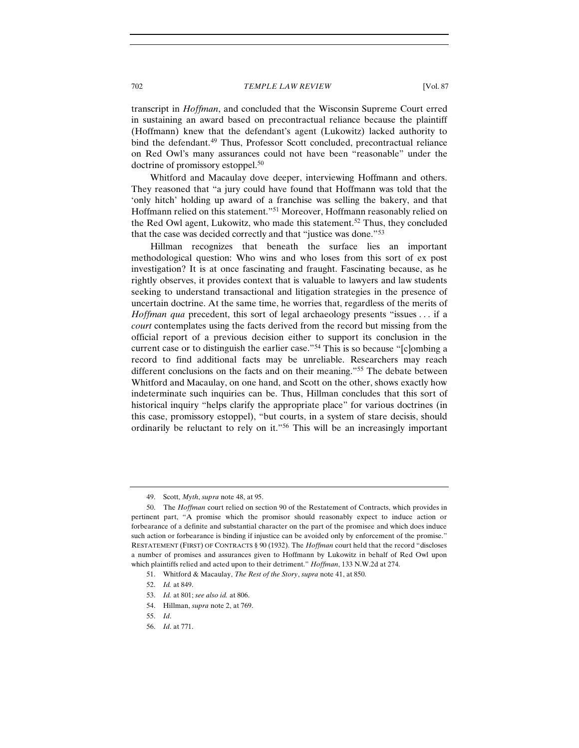transcript in *Hoffman*, and concluded that the Wisconsin Supreme Court erred in sustaining an award based on precontractual reliance because the plaintiff (Hoffmann) knew that the defendant's agent (Lukowitz) lacked authority to bind the defendant.[49](#page-9-0) Thus, Professor Scott concluded, precontractual reliance on Red Owl's many assurances could not have been "reasonable" under the doctrine of promissory estoppel.<sup>50</sup>

Whitford and Macaulay dove deeper, interviewing Hoffmann and others. They reasoned that "a jury could have found that Hoffmann was told that the 'only hitch' holding up award of a franchise was selling the bakery, and that Hoffmann relied on this statement."[51](#page-9-2) Moreover, Hoffmann reasonably relied on the Red Owl agent, Lukowitz, who made this statement.<sup>[52](#page-9-3)</sup> Thus, they concluded that the case was decided correctly and that "justice was done."[53](#page-9-4)

Hillman recognizes that beneath the surface lies an important methodological question: Who wins and who loses from this sort of ex post investigation? It is at once fascinating and fraught. Fascinating because, as he rightly observes, it provides context that is valuable to lawyers and law students seeking to understand transactional and litigation strategies in the presence of uncertain doctrine. At the same time, he worries that, regardless of the merits of *Hoffman qua* precedent, this sort of legal archaeology presents "issues . . . if a *court* contemplates using the facts derived from the record but missing from the official report of a previous decision either to support its conclusion in the current case or to distinguish the earlier case."[54](#page-9-5) This is so because "[c]ombing a record to find additional facts may be unreliable. Researchers may reach different conclusions on the facts and on their meaning."[55](#page-9-6) The debate between Whitford and Macaulay, on one hand, and Scott on the other, shows exactly how indeterminate such inquiries can be. Thus, Hillman concludes that this sort of historical inquiry "helps clarify the appropriate place" for various doctrines (in this case, promissory estoppel), "but courts, in a system of stare decisis, should ordinarily be reluctant to rely on it."[56](#page-9-7) This will be an increasingly important

<sup>49.</sup> Scott, *Myth*, *supra* note 48, at 95.

<span id="page-9-1"></span><span id="page-9-0"></span><sup>50.</sup> The *Hoffman* court relied on section 90 of the Restatement of Contracts, which provides in pertinent part, "A promise which the promisor should reasonably expect to induce action or forbearance of a definite and substantial character on the part of the promisee and which does induce such action or forbearance is binding if injustice can be avoided only by enforcement of the promise." RESTATEMENT (FIRST) OF CONTRACTS § 90 (1932). The *Hoffman* court held that the record "discloses a number of promises and assurances given to Hoffmann by Lukowitz in behalf of Red Owl upon which plaintiffs relied and acted upon to their detriment." *Hoffman*, 133 N.W.2d at 274.

<span id="page-9-2"></span><sup>51.</sup> Whitford & Macaulay, *The Rest of the Story*, *supra* note 41, at 850.

<span id="page-9-3"></span><sup>52.</sup> *Id.* at 849.

<span id="page-9-4"></span><sup>53.</sup> *Id.* at 801; *see also id.* at 806.

<span id="page-9-5"></span><sup>54.</sup> Hillman, *supra* note 2, at 769.

<span id="page-9-6"></span><sup>55.</sup> *Id*.

<span id="page-9-7"></span><sup>56.</sup> *Id*. at 771.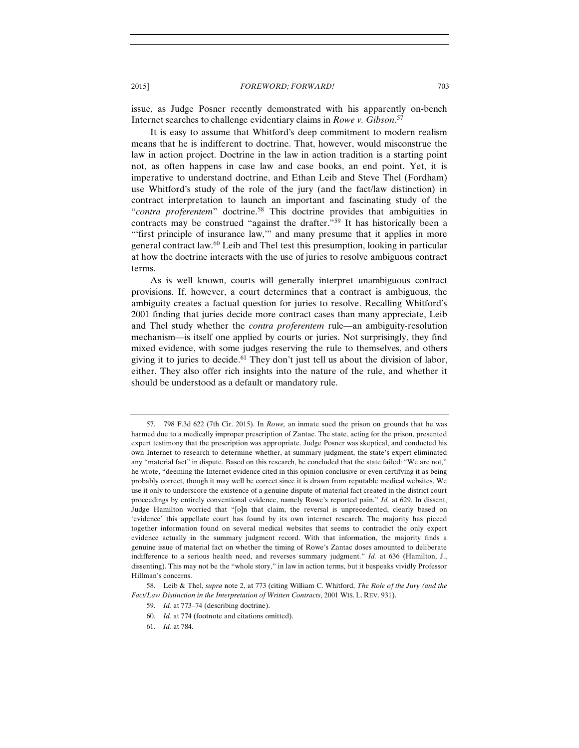issue, as Judge Posner recently demonstrated with his apparently on-bench Internet searches to challenge evidentiary claims in *Rowe v. Gibson*. [57](#page-10-0)

It is easy to assume that Whitford's deep commitment to modern realism means that he is indifferent to doctrine. That, however, would misconstrue the law in action project. Doctrine in the law in action tradition is a starting point not, as often happens in case law and case books, an end point. Yet, it is imperative to understand doctrine, and Ethan Leib and Steve Thel (Fordham) use Whitford's study of the role of the jury (and the fact/law distinction) in contract interpretation to launch an important and fascinating study of the "*contra proferentem*" doctrine.[58](#page-10-1) This doctrine provides that ambiguities in contracts may be construed "against the drafter."[59](#page-10-2) It has historically been a "'first principle of insurance law," and many presume that it applies in more general contract law.[60](#page-10-3) Leib and Thel test this presumption, looking in particular at how the doctrine interacts with the use of juries to resolve ambiguous contract terms.

As is well known, courts will generally interpret unambiguous contract provisions. If, however, a court determines that a contract is ambiguous, the ambiguity creates a factual question for juries to resolve. Recalling Whitford's 2001 finding that juries decide more contract cases than many appreciate, Leib and Thel study whether the *contra proferentem* rule—an ambiguity-resolution mechanism—is itself one applied by courts or juries. Not surprisingly, they find mixed evidence, with some judges reserving the rule to themselves, and others giving it to juries to decide.<sup>61</sup> They don't just tell us about the division of labor, either. They also offer rich insights into the nature of the rule, and whether it should be understood as a default or mandatory rule.

<span id="page-10-0"></span><sup>57.</sup> 798 F.3d 622 (7th Cir. 2015). In *Rowe,* an inmate sued the prison on grounds that he was harmed due to a medically improper prescription of Zantac. The state, acting for the prison, presented expert testimony that the prescription was appropriate. Judge Posner was skeptical, and conducted his own Internet to research to determine whether, at summary judgment, the state's expert eliminated any "material fact" in dispute. Based on this research, he concluded that the state failed: "We are not," he wrote, "deeming the Internet evidence cited in this opinion conclusive or even certifying it as being probably correct, though it may well be correct since it is drawn from reputable medical websites. We use it only to underscore the existence of a genuine dispute of material fact created in the district court proceedings by entirely conventional evidence, namely Rowe's reported pain." *Id.* at 629. In dissent, Judge Hamilton worried that "[o]n that claim, the reversal is unprecedented, clearly based on 'evidence' this appellate court has found by its own internet research. The majority has pieced together information found on several medical websites that seems to contradict the only expert evidence actually in the summary judgment record. With that information, the majority finds a genuine issue of material fact on whether the timing of Rowe's Zantac doses amounted to deliberate indifference to a serious health need, and reverses summary judgment." *Id.* at 636 (Hamilton, J., dissenting). This may not be the "whole story," in law in action terms, but it bespeaks vividly Professor Hillman's concerns.

<span id="page-10-4"></span><span id="page-10-3"></span><span id="page-10-2"></span><span id="page-10-1"></span><sup>58.</sup> Leib & Thel, *supra* note 2, at 773 (citing William C. Whitford, *The Role of the Jury (and the Fact/Law Distinction in the Interpretation of Written Contracts*, 2001 WIS. L. REV. 931).

<sup>59.</sup> *Id.* at 773–74 (describing doctrine).

<sup>60.</sup> *Id.* at 774 (footnote and citations omitted).

<sup>61.</sup> *Id.* at 784.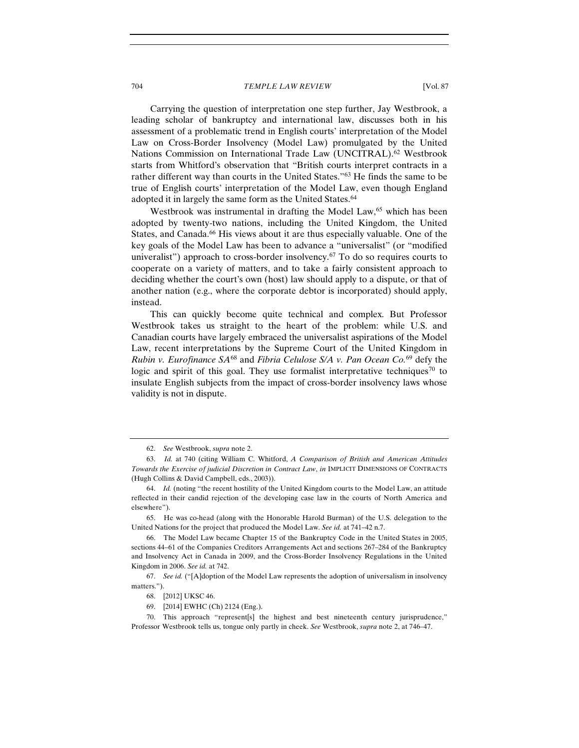Carrying the question of interpretation one step further, Jay Westbrook, a leading scholar of bankruptcy and international law, discusses both in his assessment of a problematic trend in English courts' interpretation of the Model Law on Cross-Border Insolvency (Model Law) promulgated by the United Nations Commission on International Trade Law (UNCITRAL).<sup>[62](#page-11-0)</sup> Westbrook starts from Whitford's observation that "British courts interpret contracts in a rather different way than courts in the United States."<sup>[63](#page-11-1)</sup> He finds the same to be true of English courts' interpretation of the Model Law, even though England adopted it in largely the same form as the United States.<sup>[64](#page-11-2)</sup>

Westbrook was instrumental in drafting the Model Law,<sup>[65](#page-11-3)</sup> which has been adopted by twenty-two nations, including the United Kingdom, the United States, and Canada.<sup>[66](#page-11-4)</sup> His views about it are thus especially valuable. One of the key goals of the Model Law has been to advance a "universalist" (or "modified univeralist") approach to cross-border insolvency.<sup> $67$ </sup> To do so requires courts to cooperate on a variety of matters, and to take a fairly consistent approach to deciding whether the court's own (host) law should apply to a dispute, or that of another nation (e.g., where the corporate debtor is incorporated) should apply, instead.

This can quickly become quite technical and complex. But Professor Westbrook takes us straight to the heart of the problem: while U.S. and Canadian courts have largely embraced the universalist aspirations of the Model Law, recent interpretations by the Supreme Court of the United Kingdom in *Rubin v. Eurofinance SA*[68](#page-11-6) and *Fibria Celulose S/A v. Pan Ocean Co.*[69](#page-11-7) defy the logic and spirit of this goal. They use formalist interpretative techniques<sup>[70](#page-11-8)</sup> to insulate English subjects from the impact of cross-border insolvency laws whose validity is not in dispute.

<sup>62.</sup> *See* Westbrook, *supra* note 2.

<span id="page-11-1"></span><span id="page-11-0"></span><sup>63.</sup> *Id.* at 740 (citing William C. Whitford, *A Comparison of British and American Attitudes Towards the Exercise of judicial Discretion in Contract Law*, *in* IMPLICIT DIMENSIONS OF CONTRACTS (Hugh Collins & David Campbell, eds., 2003)).

<span id="page-11-2"></span><sup>64.</sup> *Id.* (noting "the recent hostility of the United Kingdom courts to the Model Law, an attitude reflected in their candid rejection of the developing case law in the courts of North America and elsewhere").

<span id="page-11-3"></span><sup>65.</sup> He was co-head (along with the Honorable Harold Burman) of the U.S. delegation to the United Nations for the project that produced the Model Law. *See id.* at 741–42 n.7.

<span id="page-11-4"></span><sup>66.</sup> The Model Law became Chapter 15 of the Bankruptcy Code in the United States in 2005, sections 44–61 of the Companies Creditors Arrangements Act and sections 267–284 of the Bankruptcy and Insolvency Act in Canada in 2009, and the Cross-Border Insolvency Regulations in the United Kingdom in 2006. *See id.* at 742.

<span id="page-11-6"></span><span id="page-11-5"></span><sup>67.</sup> *See id.* ("[A]doption of the Model Law represents the adoption of universalism in insolvency matters.").

<sup>68.</sup> [2012] UKSC 46.

<sup>69.</sup> [2014] EWHC (Ch) 2124 (Eng.).

<span id="page-11-8"></span><span id="page-11-7"></span><sup>70.</sup> This approach "represent[s] the highest and best nineteenth century jurisprudence," Professor Westbrook tells us, tongue only partly in cheek. *See* Westbrook, *supra* note 2, at 746–47.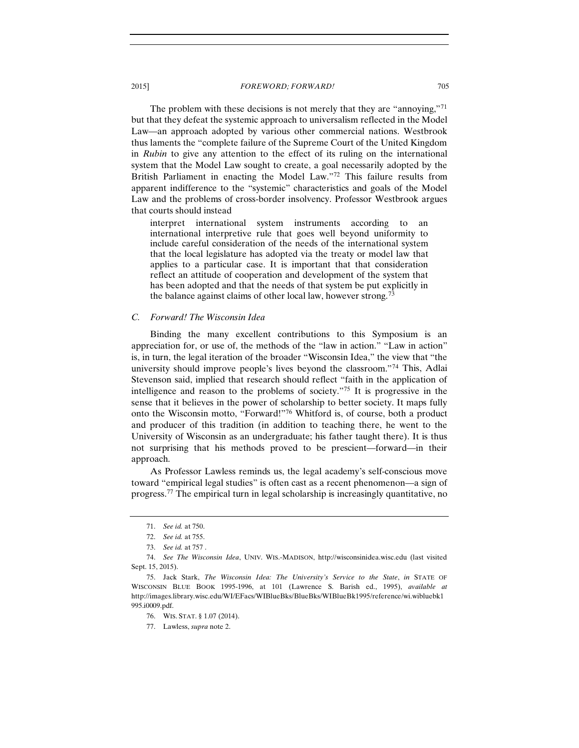The problem with these decisions is not merely that they are "annoying,"[71](#page-12-0) but that they defeat the systemic approach to universalism reflected in the Model Law—an approach adopted by various other commercial nations. Westbrook thus laments the "complete failure of the Supreme Court of the United Kingdom in *Rubin* to give any attention to the effect of its ruling on the international system that the Model Law sought to create, a goal necessarily adopted by the British Parliament in enacting the Model Law."[72](#page-12-1) This failure results from apparent indifference to the "systemic" characteristics and goals of the Model Law and the problems of cross-border insolvency. Professor Westbrook argues that courts should instead

interpret international system instruments according to an international interpretive rule that goes well beyond uniformity to include careful consideration of the needs of the international system that the local legislature has adopted via the treaty or model law that applies to a particular case. It is important that that consideration reflect an attitude of cooperation and development of the system that has been adopted and that the needs of that system be put explicitly in the balance against claims of other local law, however strong.<sup>[73](#page-12-2)</sup>

## *C. Forward! The Wisconsin Idea*

Binding the many excellent contributions to this Symposium is an appreciation for, or use of, the methods of the "law in action." "Law in action" is, in turn, the legal iteration of the broader "Wisconsin Idea," the view that "the university should improve people's lives beyond the classroom."[74](#page-12-3) This, Adlai Stevenson said, implied that research should reflect "faith in the application of intelligence and reason to the problems of society."[75](#page-12-4) It is progressive in the sense that it believes in the power of scholarship to better society. It maps fully onto the Wisconsin motto, "Forward!["76](#page-12-5) Whitford is, of course, both a product and producer of this tradition (in addition to teaching there, he went to the University of Wisconsin as an undergraduate; his father taught there). It is thus not surprising that his methods proved to be prescient—forward—in their approach.

As Professor Lawless reminds us, the legal academy's self-conscious move toward "empirical legal studies" is often cast as a recent phenomenon—a sign of progress.[77](#page-12-6) The empirical turn in legal scholarship is increasingly quantitative, no

<sup>71.</sup> *See id.* at 750.

<sup>72.</sup> *See id.* at 755.

<sup>73.</sup> *See id.* at 757 .

<span id="page-12-3"></span><span id="page-12-2"></span><span id="page-12-1"></span><span id="page-12-0"></span><sup>74.</sup> *See The Wisconsin Idea*, UNIV. WIS.-MADISON, http://wisconsinidea.wisc.edu (last visited Sept. 15, 2015).

<span id="page-12-6"></span><span id="page-12-5"></span><span id="page-12-4"></span><sup>75.</sup> Jack Stark, *The Wisconsin Idea: The University's Service to the State*, *in* STATE OF WISCONSIN BLUE BOOK 1995-1996, at 101 (Lawrence S. Barish ed., 1995), *available at* http://images.library.wisc.edu/WI/EFacs/WIBlueBks/BlueBks/WIBlueBk1995/reference/wi.wibluebk1 995.i0009.pdf.

<sup>76.</sup> WIS. STAT. § 1.07 (2014).

<sup>77.</sup> Lawless, *supra* note 2.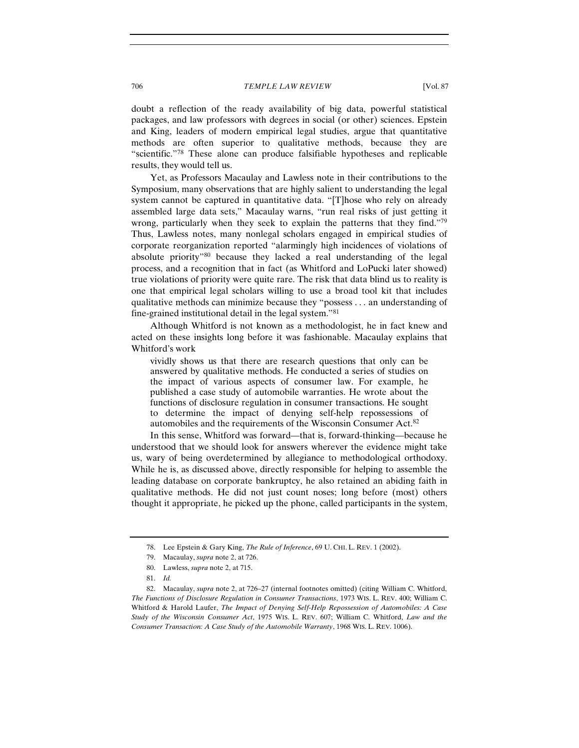doubt a reflection of the ready availability of big data, powerful statistical packages, and law professors with degrees in social (or other) sciences. Epstein and King, leaders of modern empirical legal studies, argue that quantitative methods are often superior to qualitative methods, because they are "scientific."[78](#page-13-0) These alone can produce falsifiable hypotheses and replicable results, they would tell us.

Yet, as Professors Macaulay and Lawless note in their contributions to the Symposium, many observations that are highly salient to understanding the legal system cannot be captured in quantitative data. "[T]hose who rely on already assembled large data sets," Macaulay warns, "run real risks of just getting it wrong, particularly when they seek to explain the patterns that they find.["79](#page-13-1) Thus, Lawless notes, many nonlegal scholars engaged in empirical studies of corporate reorganization reported "alarmingly high incidences of violations of absolute priority"[80](#page-13-2) because they lacked a real understanding of the legal process, and a recognition that in fact (as Whitford and LoPucki later showed) true violations of priority were quite rare. The risk that data blind us to reality is one that empirical legal scholars willing to use a broad tool kit that includes qualitative methods can minimize because they "possess . . . an understanding of fine-grained institutional detail in the legal system.["81](#page-13-3)

Although Whitford is not known as a methodologist, he in fact knew and acted on these insights long before it was fashionable. Macaulay explains that Whitford's work

vividly shows us that there are research questions that only can be answered by qualitative methods. He conducted a series of studies on the impact of various aspects of consumer law. For example, he published a case study of automobile warranties. He wrote about the functions of disclosure regulation in consumer transactions. He sought to determine the impact of denying self-help repossessions of automobiles and the requirements of the Wisconsin Consumer Act.[82](#page-13-4)

In this sense, Whitford was forward—that is, forward-thinking—because he understood that we should look for answers wherever the evidence might take us, wary of being overdetermined by allegiance to methodological orthodoxy. While he is, as discussed above, directly responsible for helping to assemble the leading database on corporate bankruptcy, he also retained an abiding faith in qualitative methods. He did not just count noses; long before (most) others thought it appropriate, he picked up the phone, called participants in the system,

<sup>78.</sup> Lee Epstein & Gary King, *The Rule of Inference*, 69 U. CHI. L. REV. 1 (2002).

<sup>79.</sup> Macaulay, *supra* note 2, at 726.

<sup>80.</sup> Lawless, *supra* note 2, at 715.

<sup>81.</sup> *Id.*

<span id="page-13-4"></span><span id="page-13-3"></span><span id="page-13-2"></span><span id="page-13-1"></span><span id="page-13-0"></span><sup>82.</sup> Macaulay, *supra* note 2, at 726–27 (internal footnotes omitted) (citing William C. Whitford, *The Functions of Disclosure Regulation in Consumer Transactions*, 1973 WIS. L. REV. 400; William C. Whitford & Harold Laufer, *The Impact of Denying Self-Help Repossession of Automobiles: A Case Study of the Wisconsin Consumer Act*, 1975 WIS. L. REV. 607; William C. Whitford, *Law and the Consumer Transaction: A Case Study of the Automobile Warranty*, 1968 WIS. L. REV. 1006).